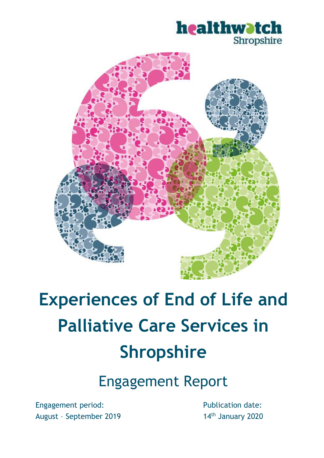# healthwatch Shropshire



# **Experiences of End of Life and Palliative Care Services in Shropshire**

Engagement Report

Engagement period: August – September 2019 Publication date: 14<sup>th</sup> January 2020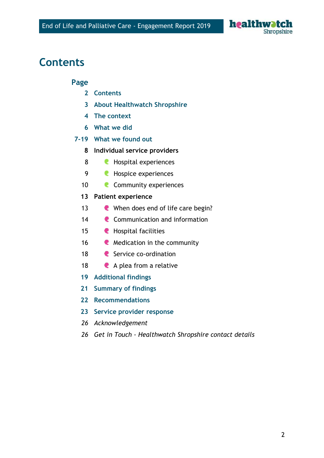

### **Contents**

#### **Page**

- **Contents**
- **About Healthwatch Shropshire**
- **The context**
- **What we did**

#### **7-19 What we found out**

- **Individual service providers**
- **C** Hospital experiences
- **Hospice experiences**
- 10 Community experiences
- **Patient experience**
- **C** When does end of life care begin?
- 14 Communication and information
- **Hospital facilities**
- **C** Medication in the community
- **C** Service co-ordination
- **A** plea from a relative
- **Additional findings**
- **Summary of findings**
- **Recommendations**
- **Service provider response**
- *Acknowledgement*
- *Get in Touch - Healthwatch Shropshire contact details*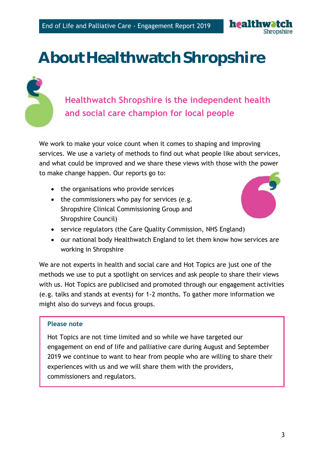

# **About Healthwatch Shropshire**



## **Healthwatch Shropshire is the independent health and social care champion for local people**

We work to make your voice count when it comes to shaping and improving services. We use a variety of methods to find out what people like about services, and what could be improved and we share these views with those with the power to make change happen. Our reports go to:

- the organisations who provide services
- the commissioners who pay for services (e.g. Shropshire Clinical Commissioning Group and Shropshire Council)



- service regulators (the Care Quality Commission, NHS England)
- our national body Healthwatch England to let them know how services are working in Shropshire

We are not experts in health and social care and Hot Topics are just one of the methods we use to put a spotlight on services and ask people to share their views with us. Hot Topics are publicised and promoted through our engagement activities (e.g. talks and stands at events) for 1-2 months. To gather more information we might also do surveys and focus groups.

#### **Please note**

Hot Topics are not time limited and so while we have targeted our engagement on end of life and palliative care during August and September 2019 we continue to want to hear from people who are willing to share their experiences with us and we will share them with the providers, commissioners and regulators.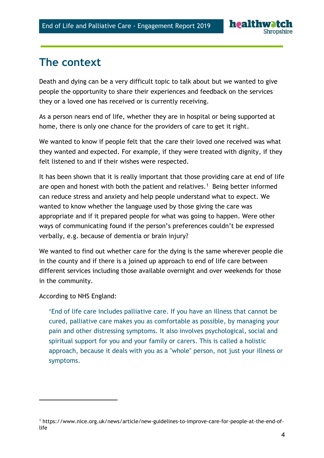### **The context**

Death and dying can be a very difficult topic to talk about but we wanted to give people the opportunity to share their experiences and feedback on the services they or a loved one has received or is currently receiving.

As a person nears end of life, whether they are in hospital or being supported at home, there is only one chance for the providers of care to get it right.

We wanted to know if people felt that the care their loved one received was what they wanted and expected. For example, if they were treated with dignity, if they felt listened to and if their wishes were respected.

It has been shown that it is really important that those providing care at end of life are open and honest with both the patient and relatives.<sup>1</sup> Being better informed can reduce stress and anxiety and help people understand what to expect. We wanted to know whether the language used by those giving the care was appropriate and if it prepared people for what was going to happen. Were other ways of communicating found if the person's preferences couldn't be expressed verbally, e.g. because of dementia or brain injury?

We wanted to find out whether care for the dying is the same wherever people die in the county and if there is a joined up approach to end of life care between different services including those available overnight and over weekends for those in the community.

According to NHS England:

-

'End of life care includes palliative care. If you have an illness that cannot be cured, palliative care makes you as comfortable as possible, by managing your pain and other distressing symptoms. It also involves psychological, social and spiritual support for you and your family or carers. This is called a holistic approach, because it deals with you as a "whole" person, not just your illness or symptoms.

<sup>1</sup> https://www.nice.org.uk/news/article/new-guidelines-to-improve-care-for-people-at-the-end-oflife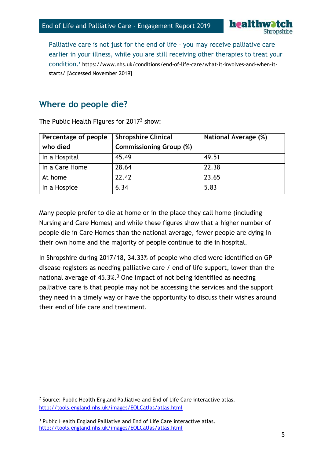

Palliative care is not just for the end of life – you may receive palliative care earlier in your illness, while you are still receiving other therapies to treat your condition.' [https://www.nhs.uk/conditions/end-of-life-care/what-it-involves-and-when-it](https://www.nhs.uk/conditions/end-of-life-care/what-it-involves-and-when-it-starts/)[starts/](https://www.nhs.uk/conditions/end-of-life-care/what-it-involves-and-when-it-starts/) [Accessed November 2019]

### **Where do people die?**

| Percentage of people | <b>Shropshire Clinical</b>     | National Average (%) |
|----------------------|--------------------------------|----------------------|
| who died             | <b>Commissioning Group (%)</b> |                      |
| In a Hospital        | 45.49                          | 49.51                |
| In a Care Home       | 28.64                          | 22.38                |
| At home              | 22.42                          | 23.65                |
| In a Hospice         | 6.34                           | 5.83                 |

The Public Health Figures for 2017<sup>2</sup> show:

Many people prefer to die at home or in the place they call home (including Nursing and Care Homes) and while these figures show that a higher number of people die in Care Homes than the national average, fewer people are dying in their own home and the majority of people continue to die in hospital.

In Shropshire during 2017/18, 34.33% of people who died were identified on GP disease registers as needing palliative care / end of life support, lower than the national average of  $45.3\%$ .<sup>3</sup> One impact of not being identified as needing palliative care is that people may not be accessing the services and the support they need in a timely way or have the opportunity to discuss their wishes around their end of life care and treatment.

-

<sup>&</sup>lt;sup>2</sup> Source: Public Health England Palliative and End of Life Care interactive atlas. <http://tools.england.nhs.uk/images/EOLCatlas/atlas.html>

<sup>&</sup>lt;sup>3</sup> Public Health England Palliative and End of Life Care interactive atlas. <http://tools.england.nhs.uk/images/EOLCatlas/atlas.html>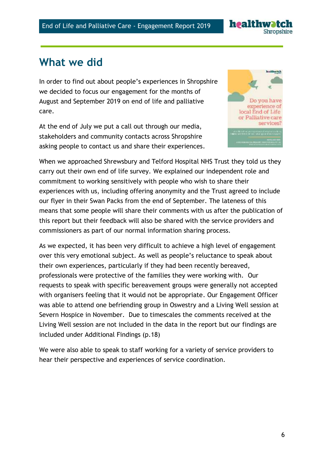

### **What we did**

In order to find out about people's experiences in Shropshire we decided to focus our engagement for the months of August and September 2019 on end of life and palliative care.

At the end of July we put a call out through our media, stakeholders and community contacts across Shropshire asking people to contact us and share their experiences.



When we approached Shrewsbury and Telford Hospital NHS Trust they told us they carry out their own end of life survey. We explained our independent role and commitment to working sensitively with people who wish to share their experiences with us, including offering anonymity and the Trust agreed to include our flyer in their Swan Packs from the end of September. The lateness of this means that some people will share their comments with us after the publication of this report but their feedback will also be shared with the service providers and commissioners as part of our normal information sharing process.

As we expected, it has been very difficult to achieve a high level of engagement over this very emotional subject. As well as people's reluctance to speak about their own experiences, particularly if they had been recently bereaved, professionals were protective of the families they were working with. Our requests to speak with specific bereavement groups were generally not accepted with organisers feeling that it would not be appropriate. Our Engagement Officer was able to attend one befriending group in Oswestry and a Living Well session at Severn Hospice in November. Due to timescales the comments received at the Living Well session are not included in the data in the report but our findings are included under Additional Findings (p.18)

We were also able to speak to staff working for a variety of service providers to hear their perspective and experiences of service coordination.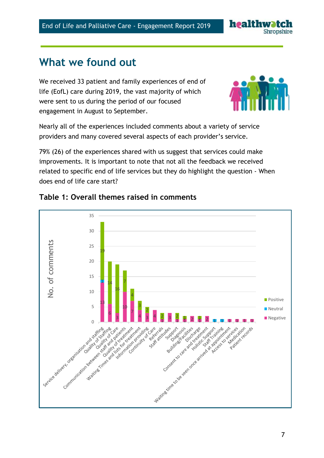# **What we found out**

We received 33 patient and family experiences of end of life (EofL) care during 2019, the vast majority of which were sent to us during the period of our focused engagement in August to September.

Nearly all of the experiences included comments about a variety of service providers and many covered several aspects of each provider's service.

79% (26) of the experiences shared with us suggest that services could make improvements. It is important to note that not all the feedback we received related to specific end of life services but they do highlight the question - When does end of life care start?



#### **Table 1: Overall themes raised in comments**



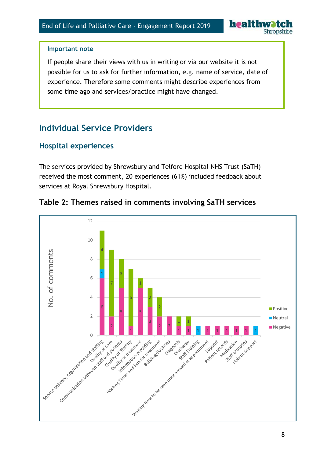

#### **Important note**

If people share their views with us in writing or via our website it is not possible for us to ask for further information, e.g. name of service, date of experience. Therefore some comments might describe experiences from some time ago and services/practice might have changed.

### **Individual Service Providers**

### **Hospital experiences**

The services provided by Shrewsbury and Telford Hospital NHS Trust (SaTH) received the most comment, 20 experiences (61%) included feedback about services at Royal Shrewsbury Hospital.



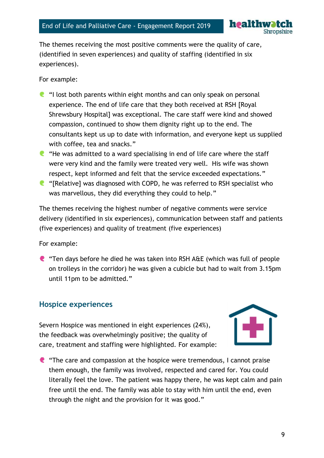

The themes receiving the most positive comments were the quality of care, (identified in seven experiences) and quality of staffing (identified in six experiences).

For example:

- $\blacksquare$  "I lost both parents within eight months and can only speak on personal experience. The end of life care that they both received at RSH [Royal Shrewsbury Hospital] was exceptional. The care staff were kind and showed compassion, continued to show them dignity right up to the end. The consultants kept us up to date with information, and everyone kept us supplied with coffee, tea and snacks."
- $\blacksquare$  "He was admitted to a ward specialising in end of life care where the staff were very kind and the family were treated very well. His wife was shown respect, kept informed and felt that the service exceeded expectations."
- "[Relative] was diagnosed with COPD, he was referred to RSH specialist who was marvellous, they did everything they could to help."

The themes receiving the highest number of negative comments were service delivery (identified in six experiences), communication between staff and patients (five experiences) and quality of treatment (five experiences)

For example:

"Ten days before he died he was taken into RSH A&E (which was full of people on trolleys in the corridor) he was given a cubicle but had to wait from 3.15pm until 11pm to be admitted."

### **Hospice experiences**

Severn Hospice was mentioned in eight experiences (24%), the feedback was overwhelmingly positive; the quality of care, treatment and staffing were highlighted. For example:



"The care and compassion at the hospice were tremendous, I cannot praise them enough, the family was involved, respected and cared for. You could literally feel the love. The patient was happy there, he was kept calm and pain free until the end. The family was able to stay with him until the end, even through the night and the provision for it was good."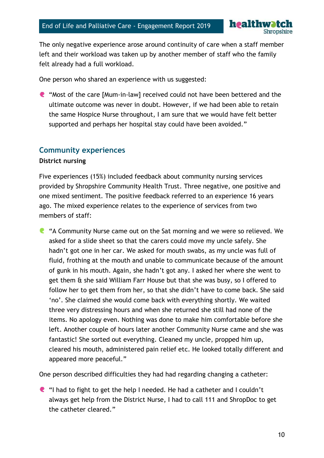

The only negative experience arose around continuity of care when a staff member left and their workload was taken up by another member of staff who the family felt already had a full workload.

One person who shared an experience with us suggested:

"Most of the care [Mum-in-law] received could not have been bettered and the ultimate outcome was never in doubt. However, if we had been able to retain the same Hospice Nurse throughout, I am sure that we would have felt better supported and perhaps her hospital stay could have been avoided."

#### **Community experiences**

#### **District nursing**

Five experiences (15%) included feedback about community nursing services provided by Shropshire Community Health Trust. Three negative, one positive and one mixed sentiment. The positive feedback referred to an experience 16 years ago. The mixed experience relates to the experience of services from two members of staff:

**C** "A Community Nurse came out on the Sat morning and we were so relieved. We asked for a slide sheet so that the carers could move my uncle safely. She hadn't got one in her car. We asked for mouth swabs, as my uncle was full of fluid, frothing at the mouth and unable to communicate because of the amount of gunk in his mouth. Again, she hadn't got any. I asked her where she went to get them & she said William Farr House but that she was busy, so I offered to follow her to get them from her, so that she didn't have to come back. She said 'no'. She claimed she would come back with everything shortly. We waited three very distressing hours and when she returned she still had none of the items. No apology even. Nothing was done to make him comfortable before she left. Another couple of hours later another Community Nurse came and she was fantastic! She sorted out everything. Cleaned my uncle, propped him up, cleared his mouth, administered pain relief etc. He looked totally different and appeared more peaceful."

One person described difficulties they had had regarding changing a catheter:

 $\bullet$  "I had to fight to get the help I needed. He had a catheter and I couldn't always get help from the District Nurse, I had to call 111 and ShropDoc to get the catheter cleared."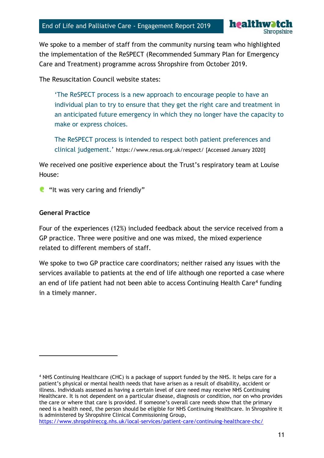

We spoke to a member of staff from the community nursing team who highlighted the implementation of the ReSPECT (Recommended Summary Plan for Emergency Care and Treatment) programme across Shropshire from October 2019.

The Resuscitation Council website states:

'The ReSPECT process is a new approach to encourage people to have an individual plan to try to ensure that they get the right care and treatment in an anticipated future emergency in which they no longer have the capacity to make or express choices.

The ReSPECT process is intended to respect both patient preferences and clinical judgement.' <https://www.resus.org.uk/respect/> [Accessed January 2020]

We received one positive experience about the Trust's respiratory team at Louise House:

 $\blacksquare$  "It was very caring and friendly"

#### **General Practice**

 $\overline{a}$ 

Four of the experiences (12%) included feedback about the service received from a GP practice. Three were positive and one was mixed, the mixed experience related to different members of staff.

We spoke to two GP practice care coordinators; neither raised any issues with the services available to patients at the end of life although one reported a case where an end of life patient had not been able to access Continuing Health Care<sup>4</sup> funding in a timely manner.

<sup>4</sup> NHS Continuing Healthcare (CHC) is a package of support funded by the NHS. It helps care for a patient's physical or mental health needs that have arisen as a result of disability, accident or illness. Individuals assessed as having a certain level of care need may receive NHS Continuing Healthcare. It is not dependent on a particular disease, diagnosis or condition, nor on who provides the care or where that care is provided. If someone's overall care needs show that the primary need is a health need, the person should be eligible for NHS Continuing Healthcare. In Shropshire it is administered by Shropshire Clinical Commissioning Group, <https://www.shropshireccg.nhs.uk/local-services/patient-care/continuing-healthcare-chc/>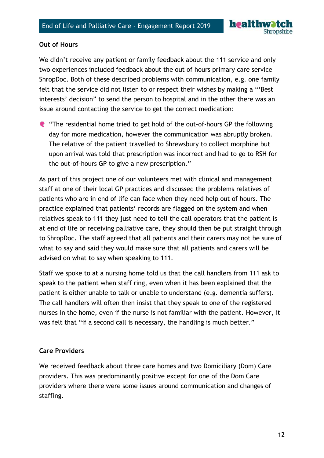

#### **Out of Hours**

We didn't receive any patient or family feedback about the 111 service and only two experiences included feedback about the out of hours primary care service ShropDoc. Both of these described problems with communication, e.g. one family felt that the service did not listen to or respect their wishes by making a "'Best interests' decision" to send the person to hospital and in the other there was an issue around contacting the service to get the correct medication:

"The residential home tried to get hold of the out-of-hours GP the following day for more medication, however the communication was abruptly broken. The relative of the patient travelled to Shrewsbury to collect morphine but upon arrival was told that prescription was incorrect and had to go to RSH for the out-of-hours GP to give a new prescription."

As part of this project one of our volunteers met with clinical and management staff at one of their local GP practices and discussed the problems relatives of patients who are in end of life can face when they need help out of hours. The practice explained that patients' records are flagged on the system and when relatives speak to 111 they just need to tell the call operators that the patient is at end of life or receiving palliative care, they should then be put straight through to ShropDoc. The staff agreed that all patients and their carers may not be sure of what to say and said they would make sure that all patients and carers will be advised on what to say when speaking to 111.

Staff we spoke to at a nursing home told us that the call handlers from 111 ask to speak to the patient when staff ring, even when it has been explained that the patient is either unable to talk or unable to understand (e.g. dementia suffers). The call handlers will often then insist that they speak to one of the registered nurses in the home, even if the nurse is not familiar with the patient. However, it was felt that "if a second call is necessary, the handling is much better."

#### **Care Providers**

We received feedback about three care homes and two Domiciliary (Dom) Care providers. This was predominantly positive except for one of the Dom Care providers where there were some issues around communication and changes of staffing.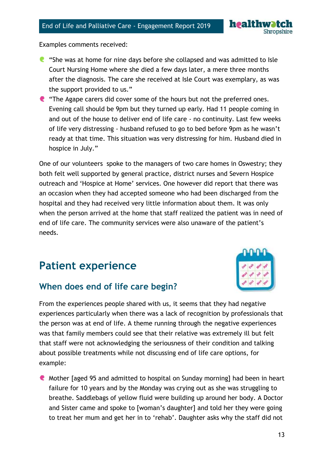

Examples comments received:

- "She was at home for nine days before she collapsed and was admitted to Isle Court Nursing Home where she died a few days later, a mere three months after the diagnosis. The care she received at Isle Court was exemplary, as was the support provided to us."
- **C** "The Agape carers did cover some of the hours but not the preferred ones. Evening call should be 9pm but they turned up early. Had 11 people coming in and out of the house to deliver end of life care - no continuity. Last few weeks of life very distressing - husband refused to go to bed before 9pm as he wasn't ready at that time. This situation was very distressing for him. Husband died in hospice in July."

One of our volunteers spoke to the managers of two care homes in Oswestry; they both felt well supported by general practice, district nurses and Severn Hospice outreach and 'Hospice at Home' services. One however did report that there was an occasion when they had accepted someone who had been discharged from the hospital and they had received very little information about them. It was only when the person arrived at the home that staff realized the patient was in need of end of life care. The community services were also unaware of the patient's needs.

# **Patient experience**

### **When does end of life care begin?**



Mother [aged 95 and admitted to hospital on Sunday morning] had been in heart failure for 10 years and by the Monday was crying out as she was struggling to breathe. Saddlebags of yellow fluid were building up around her body. A Doctor and Sister came and spoke to [woman's daughter] and told her they were going to treat her mum and get her in to 'rehab'. Daughter asks why the staff did not

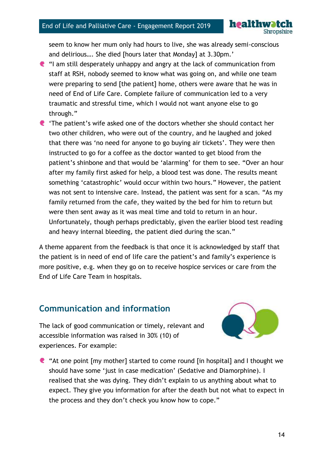

seem to know her mum only had hours to live, she was already semi-conscious and delirious…. She died [hours later that Monday] at 3.30pm.'

- "I am still desperately unhappy and angry at the lack of communication from staff at RSH, nobody seemed to know what was going on, and while one team were preparing to send [the patient] home, others were aware that he was in need of End of Life Care. Complete failure of communication led to a very traumatic and stressful time, which I would not want anyone else to go through."
- 'The patient's wife asked one of the doctors whether she should contact her two other children, who were out of the country, and he laughed and joked that there was 'no need for anyone to go buying air tickets'. They were then instructed to go for a coffee as the doctor wanted to get blood from the patient's shinbone and that would be 'alarming' for them to see. "Over an hour after my family first asked for help, a blood test was done. The results meant something 'catastrophic' would occur within two hours." However, the patient was not sent to intensive care. Instead, the patient was sent for a scan. "As my family returned from the cafe, they waited by the bed for him to return but were then sent away as it was meal time and told to return in an hour. Unfortunately, though perhaps predictably, given the earlier blood test reading and heavy internal bleeding, the patient died during the scan."

A theme apparent from the feedback is that once it is acknowledged by staff that the patient is in need of end of life care the patient's and family's experience is more positive, e.g. when they go on to receive hospice services or care from the End of Life Care Team in hospitals.

### **Communication and information**



The lack of good communication or timely, relevant and accessible information was raised in 30% (10) of experiences. For example:

"At one point [my mother] started to come round [in hospital] and I thought we should have some 'just in case medication' (Sedative and Diamorphine). I realised that she was dying. They didn't explain to us anything about what to expect. They give you information for after the death but not what to expect in the process and they don't check you know how to cope."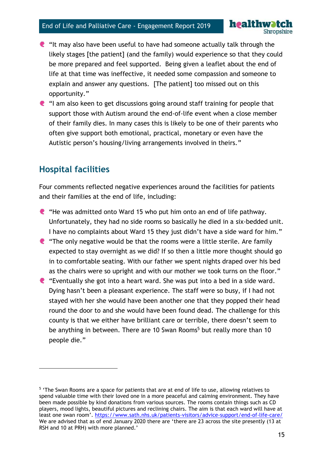- $\bullet$  "It may also have been useful to have had someone actually talk through the likely stages [the patient] (and the family) would experience so that they could be more prepared and feel supported. Being given a leaflet about the end of life at that time was ineffective, it needed some compassion and someone to explain and answer any questions. [The patient] too missed out on this opportunity."
- "I am also keen to get discussions going around staff training for people that support those with Autism around the end-of-life event when a close member of their family dies. In many cases this is likely to be one of their parents who often give support both emotional, practical, monetary or even have the Autistic person's housing/living arrangements involved in theirs."

### **Hospital facilities**

 $\overline{a}$ 

Four comments reflected negative experiences around the facilities for patients and their families at the end of life, including:

- $\bullet$  "He was admitted onto Ward 15 who put him onto an end of life pathway. Unfortunately, they had no side rooms so basically he died in a six-bedded unit. I have no complaints about Ward 15 they just didn't have a side ward for him."
- $\bullet$  "The only negative would be that the rooms were a little sterile. Are family expected to stay overnight as we did? If so then a little more thought should go in to comfortable seating. With our father we spent nights draped over his bed as the chairs were so upright and with our mother we took turns on the floor."
- "Eventually she got into a heart ward. She was put into a bed in a side ward. Dying hasn't been a pleasant experience. The staff were so busy, if I had not stayed with her she would have been another one that they popped their head round the door to and she would have been found dead. The challenge for this county is that we either have brilliant care or terrible, there doesn't seem to be anything in between. There are 10 Swan Rooms<sup>5</sup> but really more than 10 people die."

healthwatch

<sup>&</sup>lt;sup>5</sup> 'The Swan Rooms are a space for patients that are at end of life to use, allowing relatives to spend valuable time with their loved one in a more peaceful and calming environment. They have been made possible by kind donations from various sources. The rooms contain things such as CD players, mood lights, beautiful pictures and reclining chairs. The aim is that each ward will have at least one swan room'. <https://www.sath.nhs.uk/patients-visitors/advice-support/end-of-life-care/> We are advised that as of end January 2020 there are 'there are 23 across the site presently (13 at RSH and 10 at PRH) with more planned.'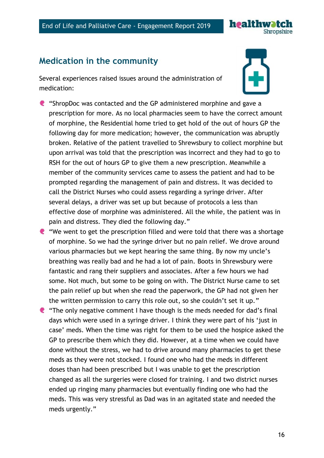

### **Medication in the community**

Several experiences raised issues around the administration of medication:

- "ShropDoc was contacted and the GP administered morphine and gave a prescription for more. As no local pharmacies seem to have the correct amount of morphine, the Residential home tried to get hold of the out of hours GP the following day for more medication; however, the communication was abruptly broken. Relative of the patient travelled to Shrewsbury to collect morphine but upon arrival was told that the prescription was incorrect and they had to go to RSH for the out of hours GP to give them a new prescription. Meanwhile a member of the community services came to assess the patient and had to be prompted regarding the management of pain and distress. It was decided to call the District Nurses who could assess regarding a syringe driver. After several delays, a driver was set up but because of protocols a less than effective dose of morphine was administered. All the while, the patient was in pain and distress. They died the following day."
- $\bullet$  "We went to get the prescription filled and were told that there was a shortage of morphine. So we had the syringe driver but no pain relief. We drove around various pharmacies but we kept hearing the same thing. By now my uncle's breathing was really bad and he had a lot of pain. Boots in Shrewsbury were fantastic and rang their suppliers and associates. After a few hours we had some. Not much, but some to be going on with. The District Nurse came to set the pain relief up but when she read the paperwork, the GP had not given her the written permission to carry this role out, so she couldn't set it up."
- "The only negative comment I have though is the meds needed for dad's final days which were used in a syringe driver. I think they were part of his 'just in case' meds. When the time was right for them to be used the hospice asked the GP to prescribe them which they did. However, at a time when we could have done without the stress, we had to drive around many pharmacies to get these meds as they were not stocked. I found one who had the meds in different doses than had been prescribed but I was unable to get the prescription changed as all the surgeries were closed for training. I and two district nurses ended up ringing many pharmacies but eventually finding one who had the meds. This was very stressful as Dad was in an agitated state and needed the meds urgently."

16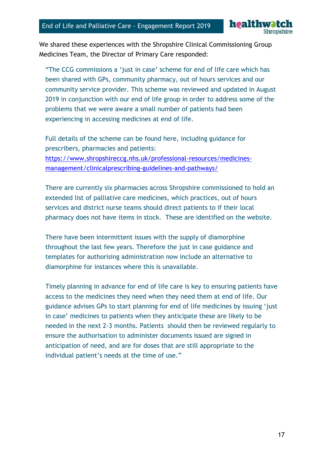

We shared these experiences with the Shropshire Clinical Commissioning Group Medicines Team, the Director of Primary Care responded:

"The CCG commissions a 'just in case' scheme for end of life care which has been shared with GPs, community pharmacy, out of hours services and our community service provider. This scheme was reviewed and updated in August 2019 in conjunction with our end of life group in order to address some of the problems that we were aware a small number of patients had been experiencing in accessing medicines at end of life.

Full details of the scheme can be found here, including guidance for prescribers, pharmacies and patients: [https://www.shropshireccg.nhs.uk/professional-resources/medicines](https://www.shropshireccg.nhs.uk/professional-resources/medicines-management/clinicalprescribing-guidelines-and-pathways/)[management/clinicalprescribing-guidelines-and-pathways/](https://www.shropshireccg.nhs.uk/professional-resources/medicines-management/clinicalprescribing-guidelines-and-pathways/)

There are currently six pharmacies across Shropshire commissioned to hold an extended list of palliative care medicines, which practices, out of hours services and district nurse teams should direct patients to if their local pharmacy does not have items in stock. These are identified on the website.

There have been intermittent issues with the supply of diamorphine throughout the last few years. Therefore the just in case guidance and templates for authorising administration now include an alternative to diamorphine for instances where this is unavailable.

Timely planning in advance for end of life care is key to ensuring patients have access to the medicines they need when they need them at end of life. Our guidance advises GPs to start planning for end of life medicines by issuing 'just in case' medicines to patients when they anticipate these are likely to be needed in the next 2-3 months. Patients should then be reviewed regularly to ensure the authorisation to administer documents issued are signed in anticipation of need, and are for doses that are still appropriate to the individual patient's needs at the time of use."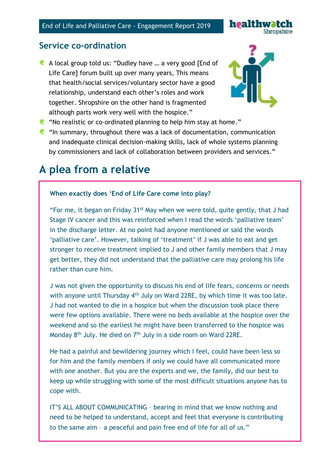

### **Service co-ordination**

A local group told us: "Dudley have … a very good [End of Life Care] forum built up over many years, This means that health/social services/voluntary sector have a good relationship, understand each other's roles and work together. Shropshire on the other hand is fragmented although parts work very well with the hospice."



- "No realistic or co-ordinated planning to help him stay at home."
- $\blacksquare$  "In summary, throughout there was a lack of documentation, communication and inadequate clinical decision-making skills, lack of whole systems planning by commissioners and lack of collaboration between providers and services."

### **A plea from a relative**

ſ

#### **When exactly does 'End of Life Care come into play?**

"For me, it began on Friday  $31^{st}$  May when we were told, quite gently, that J had Stage IV cancer and this was reinforced when I read the words 'palliative team' in the discharge letter. At no point had anyone mentioned or said the words 'palliative care'. However, talking of 'treatment' if J was able to eat and get stronger to receive treatment implied to J and other family members that J may get better, they did not understand that the palliative care may prolong his life rather than cure him.

J was not given the opportunity to discuss his end of life fears, concerns or needs with anyone until Thursday 4<sup>th</sup> July on Ward 22RE, by which time it was too late. J had not wanted to die in a hospice but when the discussion took place there were few options available. There were no beds available at the hospice over the weekend and so the earliest he might have been transferred to the hospice was Monday  $8<sup>th</sup>$  July. He died on  $7<sup>th</sup>$  July in a side room on Ward 22RE.

He had a painful and bewildering journey which I feel, could have been less so for him and the family members if only we could have all communicated more with one another. But you are the experts and we, the family, did our best to keep up while struggling with some of the most difficult situations anyone has to cope with.

IT'S ALL ABOUT COMMUNICATING – bearing in mind that we know nothing and need to be helped to understand, accept and feel that everyone is contributing to the same aim – a peaceful and pain free end of life for all of us."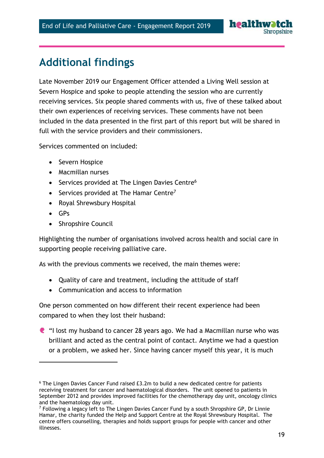# **Additional findings**

Late November 2019 our Engagement Officer attended a Living Well session at Severn Hospice and spoke to people attending the session who are currently receiving services. Six people shared comments with us, five of these talked about their own experiences of receiving services. These comments have not been included in the data presented in the first part of this report but will be shared in full with the service providers and their commissioners.

Services commented on included:

- Severn Hospice
- Macmillan nurses
- Services provided at The Lingen Davies Centre<sup>6</sup>
- Services provided at The Hamar Centre<sup>7</sup>
- Royal Shrewsbury Hospital
- $-$  GPs

 $\overline{a}$ 

• Shropshire Council

Highlighting the number of organisations involved across health and social care in supporting people receiving palliative care.

As with the previous comments we received, the main themes were:

- Quality of care and treatment, including the attitude of staff
- Communication and access to information

One person commented on how different their recent experience had been compared to when they lost their husband:

"I lost my husband to cancer 28 years ago. We had a Macmillan nurse who was brilliant and acted as the central point of contact. Anytime we had a question or a problem, we asked her. Since having cancer myself this year, it is much

<sup>6</sup> The Lingen Davies Cancer Fund raised £3.2m to build a new dedicated centre for patients receiving treatment for cancer and haematological disorders. The unit opened to patients in September 2012 and provides improved facilities for the chemotherapy day unit, oncology clinics and the haematology day unit.

 $7$  Following a legacy left to The Lingen Davies Cancer Fund by a south Shropshire GP, Dr Linnie Hamar, the charity funded the Help and Support Centre at the Royal Shrewsbury Hospital. The centre offers counselling, therapies and holds support groups for people with cancer and other illnesses.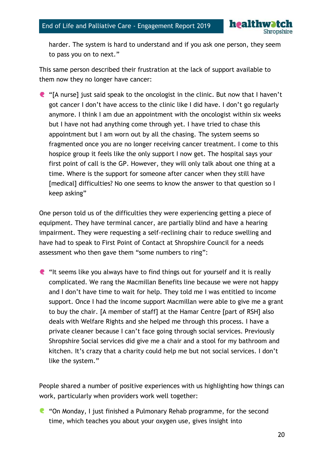

harder. The system is hard to understand and if you ask one person, they seem to pass you on to next."

This same person described their frustration at the lack of support available to them now they no longer have cancer:

"[A nurse] just said speak to the oncologist in the clinic. But now that I haven't got cancer I don't have access to the clinic like I did have. I don't go regularly anymore. I think I am due an appointment with the oncologist within six weeks but I have not had anything come through yet. I have tried to chase this appointment but I am worn out by all the chasing. The system seems so fragmented once you are no longer receiving cancer treatment. I come to this hospice group it feels like the only support I now get. The hospital says your first point of call is the GP. However, they will only talk about one thing at a time. Where is the support for someone after cancer when they still have [medical] difficulties? No one seems to know the answer to that question so I keep asking"

One person told us of the difficulties they were experiencing getting a piece of equipment. They have terminal cancer, are partially blind and have a hearing impairment. They were requesting a self-reclining chair to reduce swelling and have had to speak to First Point of Contact at Shropshire Council for a needs assessment who then gave them "some numbers to ring":

 $\blacksquare$  "It seems like you always have to find things out for yourself and it is really complicated. We rang the Macmillan Benefits line because we were not happy and I don't have time to wait for help. They told me I was entitled to income support. Once I had the income support Macmillan were able to give me a grant to buy the chair. [A member of staff] at the Hamar Centre [part of RSH] also deals with Welfare Rights and she helped me through this process. I have a private cleaner because I can't face going through social services. Previously Shropshire Social services did give me a chair and a stool for my bathroom and kitchen. It's crazy that a charity could help me but not social services. I don't like the system."

People shared a number of positive experiences with us highlighting how things can work, particularly when providers work well together:

**C** "On Monday, I just finished a Pulmonary Rehab programme, for the second time, which teaches you about your oxygen use, gives insight into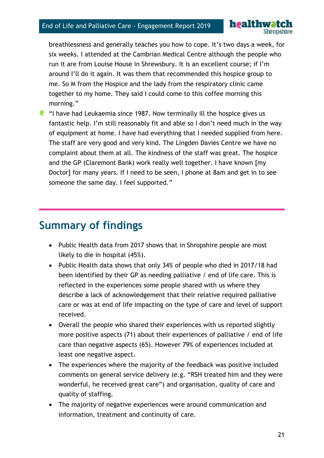**healthwa** 

breathlessness and generally teaches you how to cope. It's two days a week, for six weeks. I attended at the Cambrian Medical Centre although the people who run it are from Louise House in Shrewsbury. It is an excellent course; if I'm around I'll do it again. It was them that recommended this hospice group to me. So M from the Hospice and the lady from the respiratory clinic came together to my home. They said I could come to this coffee morning this morning."

 $\blacksquare$  "I have had Leukaemia since 1987. Now terminally ill the hospice gives us fantastic help. I'm still reasonably fit and able so I don't need much in the way of equipment at home. I have had everything that I needed supplied from here. The staff are very good and very kind. The Lingden Davies Centre we have no complaint about them at all. The kindness of the staff was great. The hospice and the GP (Claremont Bank) work really well together. I have known [my Doctor] for many years. If I need to be seen, I phone at 8am and get in to see someone the same day. I feel supported."

# **Summary of findings**

- Public Health data from 2017 shows that in Shropshire people are most likely to die in hospital (45%).
- Public Health data shows that only 34% of people who died in 2017/18 had been identified by their GP as needing palliative / end of life care. This is reflected in the experiences some people shared with us where they describe a lack of acknowledgement that their relative required palliative care or was at end of life impacting on the type of care and level of support received.
- Overall the people who shared their experiences with us reported slightly more positive aspects (71) about their experiences of palliative / end of life care than negative aspects (65). However 79% of experiences included at least one negative aspect.
- The experiences where the majority of the feedback was positive included comments on general service delivery (e.g. "RSH treated him and they were wonderful, he received great care") and organisation, quality of care and quality of staffing.
- The majority of negative experiences were around communication and information, treatment and continuity of care.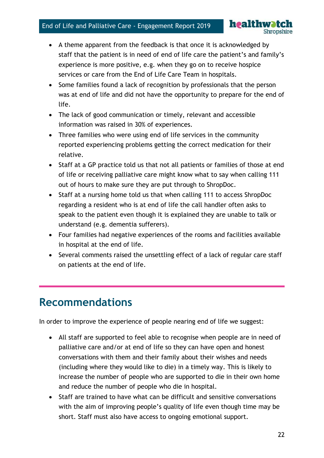- A theme apparent from the feedback is that once it is acknowledged by staff that the patient is in need of end of life care the patient's and family's experience is more positive, e.g. when they go on to receive hospice services or care from the End of Life Care Team in hospitals.
- Some families found a lack of recognition by professionals that the person was at end of life and did not have the opportunity to prepare for the end of life.
- The lack of good communication or timely, relevant and accessible information was raised in 30% of experiences.
- Three families who were using end of life services in the community reported experiencing problems getting the correct medication for their relative.
- Staff at a GP practice told us that not all patients or families of those at end of life or receiving palliative care might know what to say when calling 111 out of hours to make sure they are put through to ShropDoc.
- Staff at a nursing home told us that when calling 111 to access ShropDoc regarding a resident who is at end of life the call handler often asks to speak to the patient even though it is explained they are unable to talk or understand (e.g. dementia sufferers).
- Four families had negative experiences of the rooms and facilities available in hospital at the end of life.
- Several comments raised the unsettling effect of a lack of regular care staff on patients at the end of life.

# **Recommendations**

In order to improve the experience of people nearing end of life we suggest:

- All staff are supported to feel able to recognise when people are in need of palliative care and/or at end of life so they can have open and honest conversations with them and their family about their wishes and needs (including where they would like to die) in a timely way. This is likely to increase the number of people who are supported to die in their own home and reduce the number of people who die in hospital.
- Staff are trained to have what can be difficult and sensitive conversations with the aim of improving people's quality of life even though time may be short. Staff must also have access to ongoing emotional support.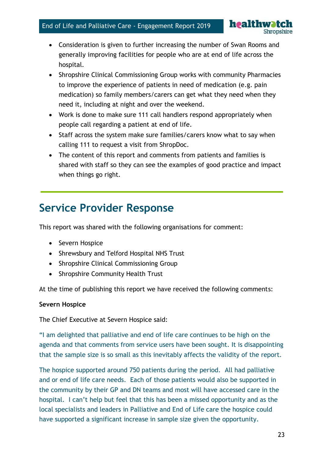

- Consideration is given to further increasing the number of Swan Rooms and generally improving facilities for people who are at end of life across the hospital.
- Shropshire Clinical Commissioning Group works with community Pharmacies to improve the experience of patients in need of medication (e.g. pain medication) so family members/carers can get what they need when they need it, including at night and over the weekend.
- Work is done to make sure 111 call handlers respond appropriately when people call regarding a patient at end of life.
- Staff across the system make sure families/carers know what to say when calling 111 to request a visit from ShropDoc.
- The content of this report and comments from patients and families is shared with staff so they can see the examples of good practice and impact when things go right.

# **Service Provider Response**

This report was shared with the following organisations for comment:

- Severn Hospice
- Shrewsbury and Telford Hospital NHS Trust
- Shropshire Clinical Commissioning Group
- Shropshire Community Health Trust

At the time of publishing this report we have received the following comments:

#### **Severn Hospice**

The Chief Executive at Severn Hospice said:

"I am delighted that palliative and end of life care continues to be high on the agenda and that comments from service users have been sought. It is disappointing that the sample size is so small as this inevitably affects the validity of the report.

The hospice supported around 750 patients during the period. All had palliative and or end of life care needs. Each of those patients would also be supported in the community by their GP and DN teams and most will have accessed care in the hospital. I can't help but feel that this has been a missed opportunity and as the local specialists and leaders in Palliative and End of Life care the hospice could have supported a significant increase in sample size given the opportunity.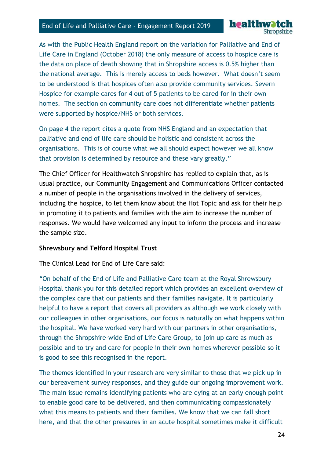**healthwatc** 

As with the Public Health England report on the variation for Palliative and End of Life Care in England (October 2018) the only measure of access to hospice care is the data on place of death showing that in Shropshire access is 0.5% higher than the national average. This is merely access to beds however. What doesn't seem to be understood is that hospices often also provide community services. Severn Hospice for example cares for 4 out of 5 patients to be cared for in their own homes. The section on community care does not differentiate whether patients were supported by hospice/NHS or both services.

On page 4 the report cites a quote from NHS England and an expectation that palliative and end of life care should be holistic and consistent across the organisations. This is of course what we all should expect however we all know that provision is determined by resource and these vary greatly."

The Chief Officer for Healthwatch Shropshire has replied to explain that, as is usual practice, our Community Engagement and Communications Officer contacted a number of people in the organisations involved in the delivery of services, including the hospice, to let them know about the Hot Topic and ask for their help in promoting it to patients and families with the aim to increase the number of responses. We would have welcomed any input to inform the process and increase the sample size.

#### **Shrewsbury and Telford Hospital Trust**

The Clinical Lead for End of Life Care said:

"On behalf of the End of Life and Palliative Care team at the Royal Shrewsbury Hospital thank you for this detailed report which provides an excellent overview of the complex care that our patients and their families navigate. It is particularly helpful to have a report that covers all providers as although we work closely with our colleagues in other organisations, our focus is naturally on what happens within the hospital. We have worked very hard with our partners in other organisations, through the Shropshire-wide End of Life Care Group, to join up care as much as possible and to try and care for people in their own homes wherever possible so it is good to see this recognised in the report.

The themes identified in your research are very similar to those that we pick up in our bereavement survey responses, and they guide our ongoing improvement work. The main issue remains identifying patients who are dying at an early enough point to enable good care to be delivered, and then communicating compassionately what this means to patients and their families. We know that we can fall short here, and that the other pressures in an acute hospital sometimes make it difficult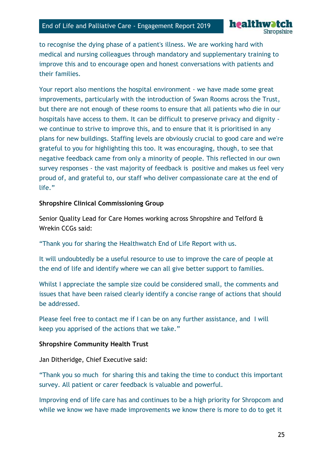to recognise the dying phase of a patient's illness. We are working hard with medical and nursing colleagues through mandatory and supplementary training to improve this and to encourage open and honest conversations with patients and their families.

**healthwa** 

Your report also mentions the hospital environment - we have made some great improvements, particularly with the introduction of Swan Rooms across the Trust, but there are not enough of these rooms to ensure that all patients who die in our hospitals have access to them. It can be difficult to preserve privacy and dignity we continue to strive to improve this, and to ensure that it is prioritised in any plans for new buildings. Staffing levels are obviously crucial to good care and we're grateful to you for highlighting this too. It was encouraging, though, to see that negative feedback came from only a minority of people. This reflected in our own survey responses - the vast majority of feedback is positive and makes us feel very proud of, and grateful to, our staff who deliver compassionate care at the end of life."

#### **Shropshire Clinical Commissioning Group**

Senior Quality Lead for Care Homes working across Shropshire and Telford & Wrekin CCGs said:

"Thank you for sharing the Healthwatch End of Life Report with us.

It will undoubtedly be a useful resource to use to improve the care of people at the end of life and identify where we can all give better support to families.

Whilst I appreciate the sample size could be considered small, the comments and issues that have been raised clearly identify a concise range of actions that should be addressed.

Please feel free to contact me if I can be on any further assistance, and I will keep you apprised of the actions that we take."

#### **Shropshire Community Health Trust**

Jan Ditheridge, Chief Executive said:

"Thank you so much for sharing this and taking the time to conduct this important survey. All patient or carer feedback is valuable and powerful.

Improving end of life care has and continues to be a high priority for Shropcom and while we know we have made improvements we know there is more to do to get it